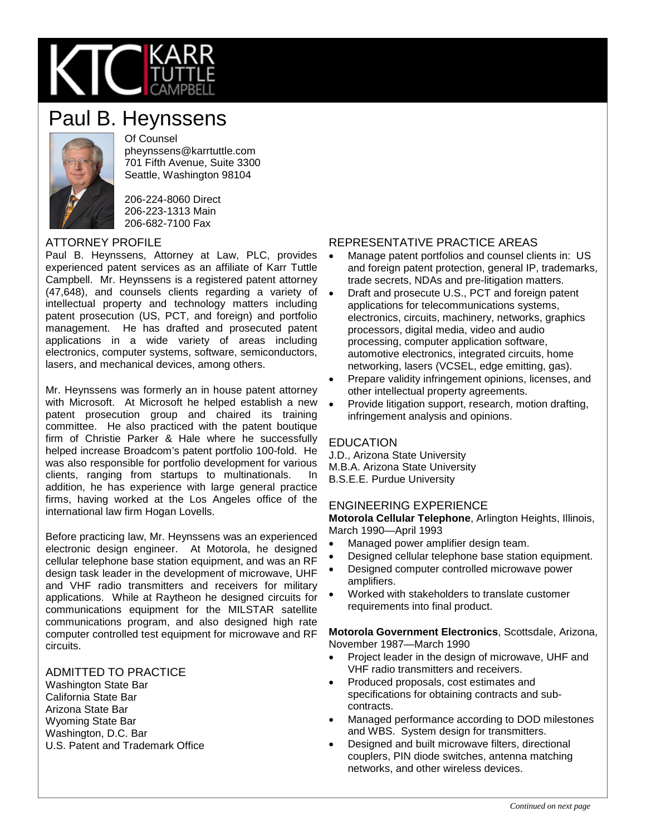

# Paul B. Heynssens



Of Counsel pheynssens@karrtuttle.com 701 Fifth Avenue, Suite 3300 Seattle, Washington 98104

206-224-8060 Direct 206-223-1313 Main 206-682-7100 Fax

### ATTORNEY PROFILE

Paul B. Heynssens, Attorney at Law, PLC, provides experienced patent services as an affiliate of Karr Tuttle Campbell. Mr. Heynssens is a registered patent attorney (47,648), and counsels clients regarding a variety of intellectual property and technology matters including patent prosecution (US, PCT, and foreign) and portfolio management. He has drafted and prosecuted patent applications in a wide variety of areas including electronics, computer systems, software, semiconductors, lasers, and mechanical devices, among others.

Mr. Heynssens was formerly an in house patent attorney with Microsoft. At Microsoft he helped establish a new patent prosecution group and chaired its training committee. He also practiced with the patent boutique firm of Christie Parker & Hale where he successfully helped increase Broadcom's patent portfolio 100-fold. He was also responsible for portfolio development for various clients, ranging from startups to multinationals. In addition, he has experience with large general practice firms, having worked at the Los Angeles office of the international law firm Hogan Lovells.

Before practicing law, Mr. Heynssens was an experienced electronic design engineer. At Motorola, he designed cellular telephone base station equipment, and was an RF design task leader in the development of microwave, UHF and VHF radio transmitters and receivers for military applications. While at Raytheon he designed circuits for communications equipment for the MILSTAR satellite communications program, and also designed high rate computer controlled test equipment for microwave and RF circuits.

### ADMITTED TO PRACTICE

Washington State Bar California State Bar Arizona State Bar Wyoming State Bar Washington, D.C. Bar U.S. Patent and Trademark Office

### REPRESENTATIVE PRACTICE AREAS

- Manage patent portfolios and counsel clients in: US and foreign patent protection, general IP, trademarks, trade secrets, NDAs and pre-litigation matters.
- Draft and prosecute U.S., PCT and foreign patent applications for telecommunications systems, electronics, circuits, machinery, networks, graphics processors, digital media, video and audio processing, computer application software, automotive electronics, integrated circuits, home networking, lasers (VCSEL, edge emitting, gas).
- Prepare validity infringement opinions, licenses, and other intellectual property agreements.
- Provide litigation support, research, motion drafting, infringement analysis and opinions.

#### **EDUCATION**

J.D., Arizona State University M.B.A. Arizona State University B.S.E.E. Purdue University

### ENGINEERING EXPERIENCE

**Motorola Cellular Telephone**, Arlington Heights, Illinois, March 1990—April 1993

- Managed power amplifier design team.
- Designed cellular telephone base station equipment.
- Designed computer controlled microwave power amplifiers.
- Worked with stakeholders to translate customer requirements into final product.

**Motorola Government Electronics**, Scottsdale, Arizona, November 1987—March 1990

- Project leader in the design of microwave, UHF and VHF radio transmitters and receivers.
- Produced proposals, cost estimates and specifications for obtaining contracts and subcontracts.
- Managed performance according to DOD milestones and WBS. System design for transmitters.
- Designed and built microwave filters, directional couplers, PIN diode switches, antenna matching networks, and other wireless devices.